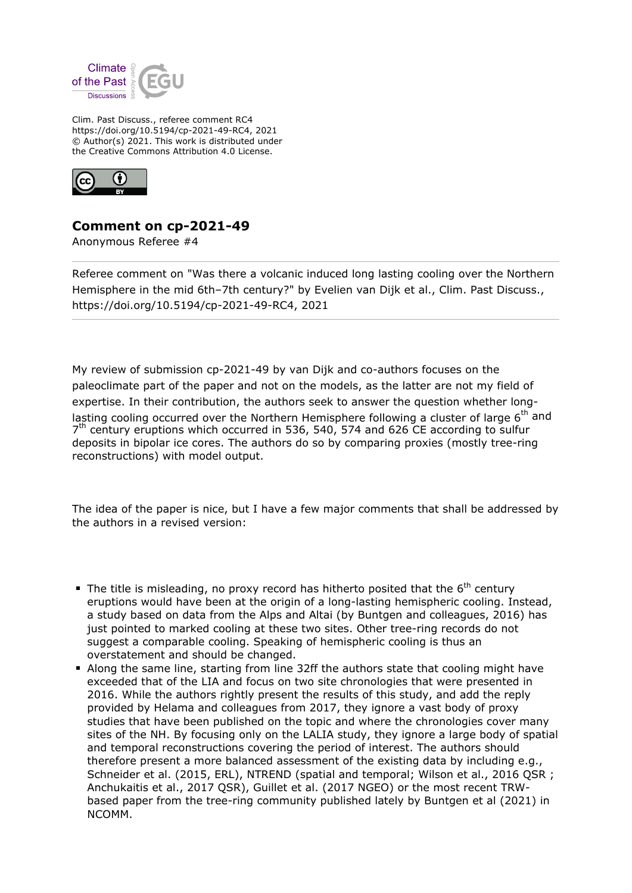

Clim. Past Discuss., referee comment RC4 https://doi.org/10.5194/cp-2021-49-RC4, 2021 © Author(s) 2021. This work is distributed under the Creative Commons Attribution 4.0 License.



## **Comment on cp-2021-49**

Anonymous Referee #4

Referee comment on "Was there a volcanic induced long lasting cooling over the Northern Hemisphere in the mid 6th-7th century?" by Evelien van Dijk et al., Clim. Past Discuss., https://doi.org/10.5194/cp-2021-49-RC4, 2021

My review of submission cp-2021-49 by van Dijk and co-authors focuses on the paleoclimate part of the paper and not on the models, as the latter are not my field of expertise. In their contribution, the authors seek to answer the question whether longlasting cooling occurred over the Northern Hemisphere following a cluster of large  $6<sup>th</sup>$  and 7<sup>th</sup> century eruptions which occurred in 536, 540, 574 and 626 CE according to sulfur deposits in bipolar ice cores. The authors do so by comparing proxies (mostly tree-ring reconstructions) with model output.

The idea of the paper is nice, but I have a few major comments that shall be addressed by the authors in a revised version:

- The title is misleading, no proxy record has hitherto posited that the  $6<sup>th</sup>$  century eruptions would have been at the origin of a long-lasting hemispheric cooling. Instead, a study based on data from the Alps and Altai (by Buntgen and colleagues, 2016) has just pointed to marked cooling at these two sites. Other tree-ring records do not suggest a comparable cooling. Speaking of hemispheric cooling is thus an overstatement and should be changed.
- Along the same line, starting from line 32ff the authors state that cooling might have exceeded that of the LIA and focus on two site chronologies that were presented in 2016. While the authors rightly present the results of this study, and add the reply provided by Helama and colleagues from 2017, they ignore a vast body of proxy studies that have been published on the topic and where the chronologies cover many sites of the NH. By focusing only on the LALIA study, they ignore a large body of spatial and temporal reconstructions covering the period of interest. The authors should therefore present a more balanced assessment of the existing data by including e.g., Schneider et al. (2015, ERL), NTREND (spatial and temporal; Wilson et al., 2016 QSR ; Anchukaitis et al., 2017 QSR), Guillet et al. (2017 NGEO) or the most recent TRWbased paper from the tree-ring community published lately by Buntgen et al (2021) in NCOMM.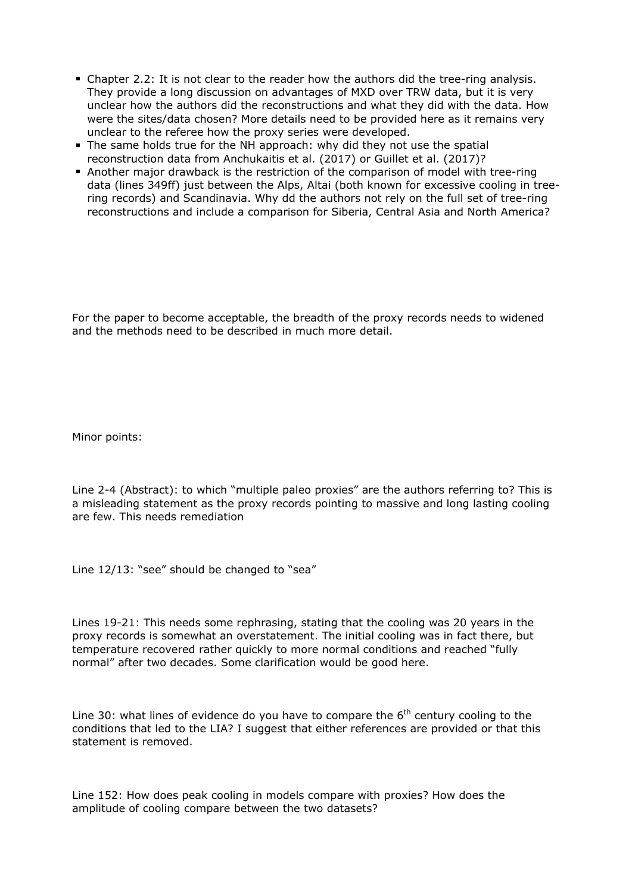- Chapter 2.2: It is not clear to the reader how the authors did the tree-ring analysis. They provide a long discussion on advantages of MXD over TRW data, but it is very unclear how the authors did the reconstructions and what they did with the data. How were the sites/data chosen? More details need to be provided here as it remains very unclear to the referee how the proxy series were developed.
- The same holds true for the NH approach: why did they not use the spatial reconstruction data from Anchukaitis et al. (2017) or Guillet et al. (2017)?
- Another major drawback is the restriction of the comparison of model with tree-ring data (lines 349ff) just between the Alps, Altai (both known for excessive cooling in treering records) and Scandinavia. Why dd the authors not rely on the full set of tree-ring reconstructions and include a comparison for Siberia, Central Asia and North America?

For the paper to become acceptable, the breadth of the proxy records needs to widened and the methods need to be described in much more detail.

Minor points:

Line 2-4 (Abstract): to which "multiple paleo proxies" are the authors referring to? This is a misleading statement as the proxy records pointing to massive and long lasting cooling are few. This needs remediation

Line 12/13: "see" should be changed to "sea"

Lines 19-21: This needs some rephrasing, stating that the cooling was 20 years in the proxy records is somewhat an overstatement. The initial cooling was in fact there, but temperature recovered rather quickly to more normal conditions and reached "fully normal" after two decades. Some clarification would be good here.

Line 30: what lines of evidence do you have to compare the  $6<sup>th</sup>$  century cooling to the conditions that led to the LIA? I suggest that either references are provided or that this statement is removed.

Line 152: How does peak cooling in models compare with proxies? How does the amplitude of cooling compare between the two datasets?